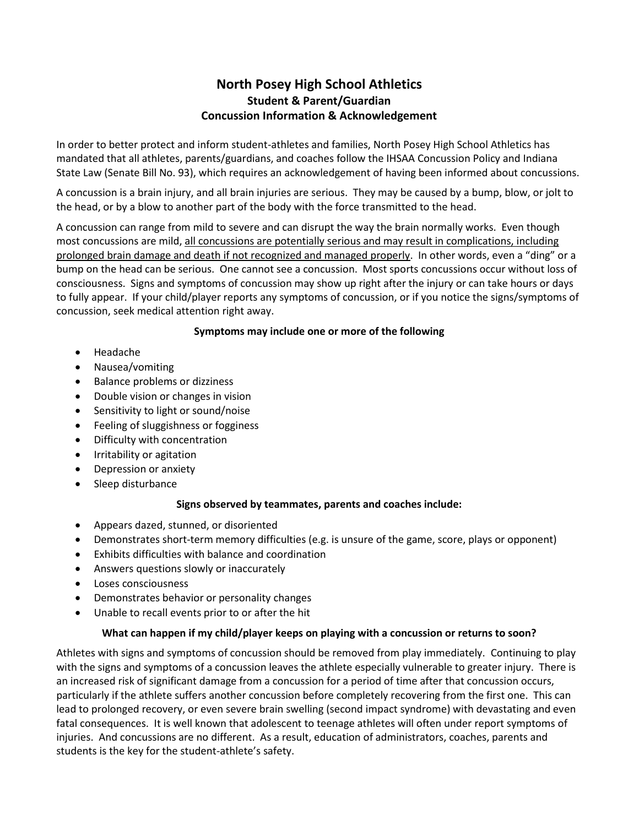# **North Posey High School Athletics Student & Parent/Guardian Concussion Information & Acknowledgement**

In order to better protect and inform student-athletes and families, North Posey High School Athletics has mandated that all athletes, parents/guardians, and coaches follow the IHSAA Concussion Policy and Indiana State Law (Senate Bill No. 93), which requires an acknowledgement of having been informed about concussions.

A concussion is a brain injury, and all brain injuries are serious. They may be caused by a bump, blow, or jolt to the head, or by a blow to another part of the body with the force transmitted to the head.

A concussion can range from mild to severe and can disrupt the way the brain normally works. Even though most concussions are mild, all concussions are potentially serious and may result in complications, including prolonged brain damage and death if not recognized and managed properly. In other words, even a "ding" or a bump on the head can be serious. One cannot see a concussion. Most sports concussions occur without loss of consciousness. Signs and symptoms of concussion may show up right after the injury or can take hours or days to fully appear. If your child/player reports any symptoms of concussion, or if you notice the signs/symptoms of concussion, seek medical attention right away.

### **Symptoms may include one or more of the following**

- Headache
- Nausea/vomiting
- Balance problems or dizziness
- Double vision or changes in vision
- Sensitivity to light or sound/noise
- Feeling of sluggishness or fogginess
- Difficulty with concentration
- Irritability or agitation
- Depression or anxiety
- Sleep disturbance

#### **Signs observed by teammates, parents and coaches include:**

- Appears dazed, stunned, or disoriented
- Demonstrates short-term memory difficulties (e.g. is unsure of the game, score, plays or opponent)
- Exhibits difficulties with balance and coordination
- Answers questions slowly or inaccurately
- Loses consciousness
- Demonstrates behavior or personality changes
- Unable to recall events prior to or after the hit

#### **What can happen if my child/player keeps on playing with a concussion or returns to soon?**

Athletes with signs and symptoms of concussion should be removed from play immediately. Continuing to play with the signs and symptoms of a concussion leaves the athlete especially vulnerable to greater injury. There is an increased risk of significant damage from a concussion for a period of time after that concussion occurs, particularly if the athlete suffers another concussion before completely recovering from the first one. This can lead to prolonged recovery, or even severe brain swelling (second impact syndrome) with devastating and even fatal consequences. It is well known that adolescent to teenage athletes will often under report symptoms of injuries. And concussions are no different. As a result, education of administrators, coaches, parents and students is the key for the student-athlete's safety.